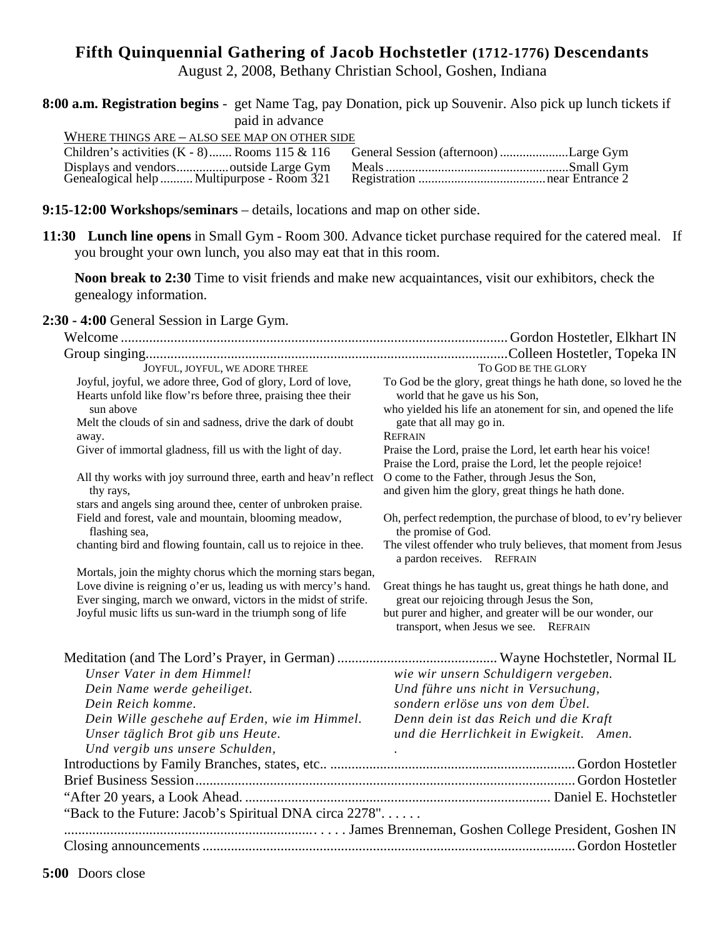## **Fifth Quinquennial Gathering of Jacob Hochstetler (1712-1776) Descendants**

August 2, 2008, Bethany Christian School, Goshen, Indiana

**8:00 a.m. Registration begins** - get Name Tag, pay Donation, pick up Souvenir. Also pick up lunch tickets if paid in advance

WHERE THINGS ARE – ALSO SEE MAP ON OTHER SIDE

| Children's activities $(K - 8)$ Rooms 115 & 116 General Session (afternoon) Large Gym |
|---------------------------------------------------------------------------------------|
|                                                                                       |

- **9:15-12:00 Workshops/seminars** details, locations and map on other side.
- **11:30 Lunch line opens** in Small Gym Room 300. Advance ticket purchase required for the catered meal. If you brought your own lunch, you also may eat that in this room.

 **Noon break to 2:30** Time to visit friends and make new acquaintances, visit our exhibitors, check the genealogy information.

**2:30 - 4:00** General Session in Large Gym.

| JOYFUL, JOYFUL, WE ADORE THREE                                         | TO GOD BE THE GLORY                                                                                                      |
|------------------------------------------------------------------------|--------------------------------------------------------------------------------------------------------------------------|
| Joyful, joyful, we adore three, God of glory, Lord of love,            | To God be the glory, great things he hath done, so loved he the                                                          |
| Hearts unfold like flow'rs before three, praising thee their           | world that he gave us his Son,                                                                                           |
| sun above                                                              | who yielded his life an atonement for sin, and opened the life                                                           |
| Melt the clouds of sin and sadness, drive the dark of doubt            | gate that all may go in.                                                                                                 |
| away.                                                                  | <b>REFRAIN</b>                                                                                                           |
| Giver of immortal gladness, fill us with the light of day.             | Praise the Lord, praise the Lord, let earth hear his voice!<br>Praise the Lord, praise the Lord, let the people rejoice! |
| All thy works with joy surround three, earth and heav'n reflect        | O come to the Father, through Jesus the Son,                                                                             |
| thy rays,                                                              | and given him the glory, great things he hath done.                                                                      |
| stars and angels sing around thee, center of unbroken praise.          |                                                                                                                          |
| Field and forest, vale and mountain, blooming meadow,<br>flashing sea, | Oh, perfect redemption, the purchase of blood, to ev'ry believer<br>the promise of God.                                  |
| chanting bird and flowing fountain, call us to rejoice in thee.        | The vilest offender who truly believes, that moment from Jesus<br>a pardon receives. REFRAIN                             |
| Mortals, join the mighty chorus which the morning stars began,         |                                                                                                                          |
| Love divine is reigning o'er us, leading us with mercy's hand.         | Great things he has taught us, great things he hath done, and                                                            |
| Ever singing, march we onward, victors in the midst of strife.         | great our rejoicing through Jesus the Son,                                                                               |
| Joyful music lifts us sun-ward in the triumph song of life             | but purer and higher, and greater will be our wonder, our<br>transport, when Jesus we see. REFRAIN                       |
|                                                                        |                                                                                                                          |
| Unser Vater in dem Himmel!                                             | wie wir unsern Schuldigern vergeben.                                                                                     |
| Dein Name werde geheiliget.                                            | Und führe uns nicht in Versuchung,                                                                                       |
| Dein Reich komme.                                                      | sondern erlöse uns von dem Übel.                                                                                         |
| Dein Wille geschehe auf Erden, wie im Himmel.                          | Denn dein ist das Reich und die Kraft                                                                                    |
| Unser täglich Brot gib uns Heute.                                      | und die Herrlichkeit in Ewigkeit. Amen.                                                                                  |
| Und vergib uns unsere Schulden,                                        |                                                                                                                          |
|                                                                        |                                                                                                                          |
|                                                                        |                                                                                                                          |
|                                                                        |                                                                                                                          |
| "Back to the Future: Jacob's Spiritual DNA circa 2278"                 |                                                                                                                          |
|                                                                        |                                                                                                                          |
|                                                                        |                                                                                                                          |
|                                                                        |                                                                                                                          |